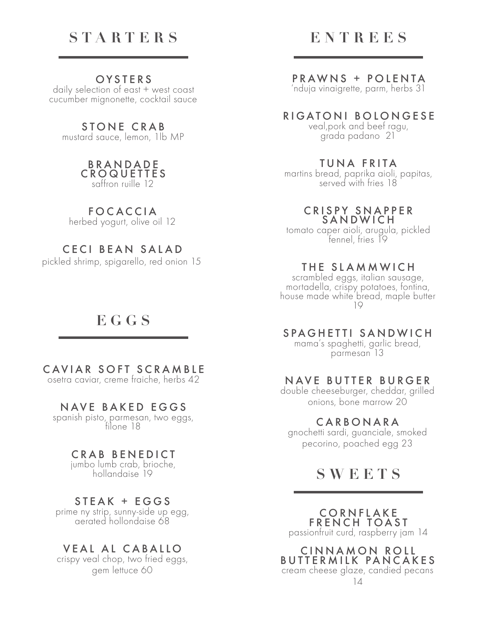# **STARTERS**

## **OYSTERS**

daily selection of east + west coast cucumber mignonette, cocktail sauce

STONE CRAB

mustard sauce, lemon, 1lb MP

#### B R A N D A D E CROQUETTES saffron ruille 12

# FOCACCIA

herbed yogurt, olive oil 12

# CECI BEAN SALAD

pickled shrimp, spigarello, red onion 15

# **EGGS**

## CAVIAR SOFT SCRAMBLE

osetra caviar, creme fraiche, herbs 42

## NAVE BAKED EGGS

spanish pisto, parmesan, two eggs, filone 18

### CRAB BENEDICT

jumbo lumb crab, brioche, hollandaise 19

## STEAK + EGGS

prime ny strip, sunny-side up egg,<br>aerated hollondaise 68

# VEAL AL CABALLO

crispy veal chop, two fried eggs, gem lettuce 60

# **ENTREES**

# PRAWNS + POLENTA

'nduja vinaigrette, parm, herbs 31

# RIGATONI BOLONGESE

veal,pork and beef ragu, grada padano 21

#### TUNA FRITA

martins bread, paprika aioli, papitas, served with fries 18

#### CRISPY SNAPPER SANDWICH

tomato caper aioli, arugula, pickled fennel, fries 19

### THE SLAMMWICH

scrambled eggs, italian sausage, mortadella, crispy potatoes, fontina, house made white bread, maple butter 19

## SPAGHETTI SANDWICH

mama's spaghetti, garlic bread, parmesan 13

# NAVE BUTTER BURGER

double cheeseburger, cheddar, grilled onions, bone marrow 20

#### CARBONARA

gnochetti sardi, guanciale, smoked pecorino, poached egg 23

**SWEETS**

CORNFLAKE FRENCH TOAST

passionfruit curd, raspberry jam 14

CINNAMON ROLL **BUTTERMILK PANCAKES** cream cheese glaze, candied pecans